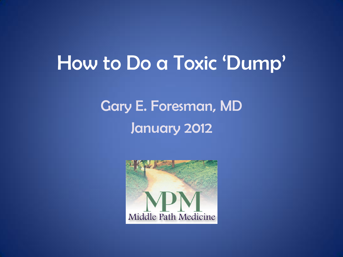# How to Do a Toxic 'Dump'

## Gary E. Foresman, MD January 2012

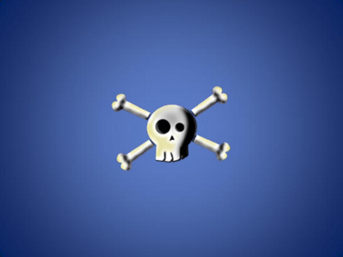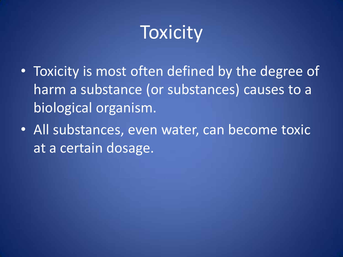# **Toxicity**

- Toxicity is most often defined by the degree of harm a substance (or substances) causes to a biological organism.
- All substances, even water, can become toxic at a certain dosage.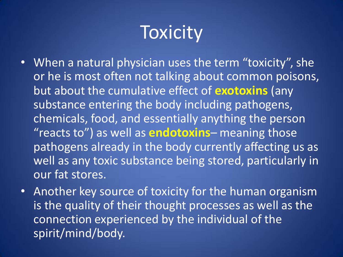# **Toxicity**

- When a natural physician uses the term "toxicity", she or he is most often not talking about common poisons, but about the cumulative effect of **exotoxins** (any substance entering the body including pathogens, chemicals, food, and essentially anything the person "reacts to") as well as **endotoxins**– meaning those pathogens already in the body currently affecting us as well as any toxic substance being stored, particularly in our fat stores.
- Another key source of toxicity for the human organism is the quality of their thought processes as well as the connection experienced by the individual of the spirit/mind/body.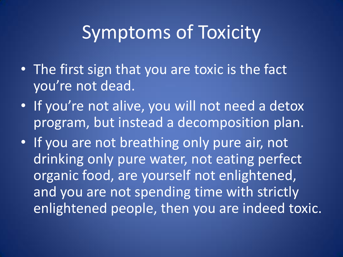# Symptoms of Toxicity

- The first sign that you are toxic is the fact you're not dead.
- If you're not alive, you will not need a detox program, but instead a decomposition plan.
- If you are not breathing only pure air, not drinking only pure water, not eating perfect organic food, are yourself not enlightened, and you are not spending time with strictly enlightened people, then you are indeed toxic.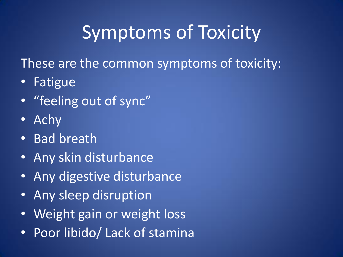# Symptoms of Toxicity

These are the common symptoms of toxicity:

- Fatigue
- "feeling out of sync"
- Achy
- Bad breath
- Any skin disturbance
- Any digestive disturbance
- Any sleep disruption
- Weight gain or weight loss
- Poor libido/ Lack of stamina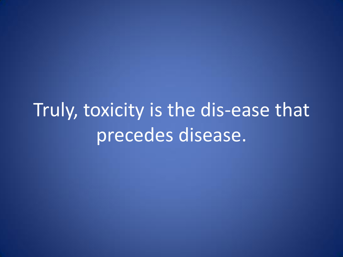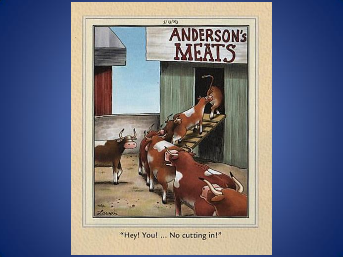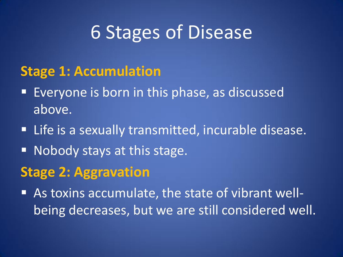#### **Stage 1: Accumulation**

- **Everyone is born in this phase, as discussed** above.
- **EXTE:** Life is a sexually transmitted, incurable disease.
- Nobody stays at this stage.

### **Stage 2: Aggravation**

 As toxins accumulate, the state of vibrant wellbeing decreases, but we are still considered well.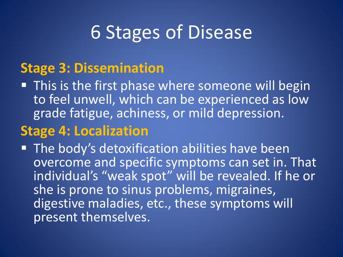#### **Stage 3: Dissemination**

**This is the first phase where someone will begin** to feel unwell, which can be experienced as low grade fatigue, achiness, or mild depression.

#### **Stage 4: Localization**

**The body's detoxification abilities have been** overcome and specific symptoms can set in. That individual's "weak spot" will be revealed. If he or she is prone to sinus problems, migraines, digestive maladies, etc., these symptoms will present themselves.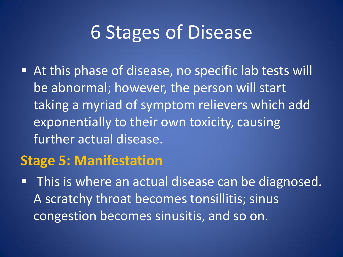■ At this phase of disease, no specific lab tests will be abnormal; however, the person will start taking a myriad of symptom relievers which add exponentially to their own toxicity, causing further actual disease.

#### **Stage 5: Manifestation**

**This is where an actual disease can be diagnosed.** A scratchy throat becomes tonsillitis; sinus congestion becomes sinusitis, and so on.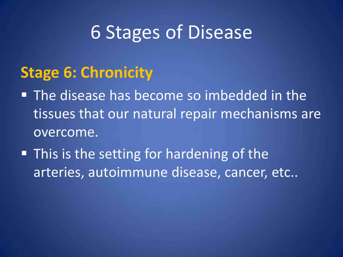### **Stage 6: Chronicity**

- **The disease has become so imbedded in the** tissues that our natural repair mechanisms are overcome.
- **This is the setting for hardening of the** arteries, autoimmune disease, cancer, etc..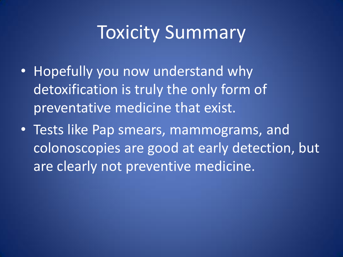## Toxicity Summary

- Hopefully you now understand why detoxification is truly the only form of preventative medicine that exist.
- Tests like Pap smears, mammograms, and colonoscopies are good at early detection, but are clearly not preventive medicine.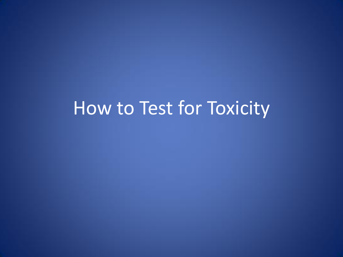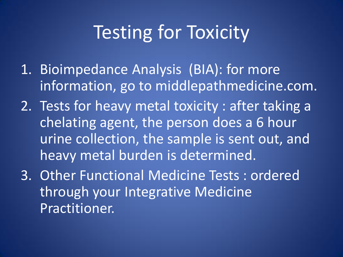# Testing for Toxicity

- 1. Bioimpedance Analysis (BIA): for more information, go to middlepathmedicine.com.
- 2. Tests for heavy metal toxicity : after taking a chelating agent, the person does a 6 hour urine collection, the sample is sent out, and heavy metal burden is determined.
- 3. Other Functional Medicine Tests : ordered through your Integrative Medicine Practitioner.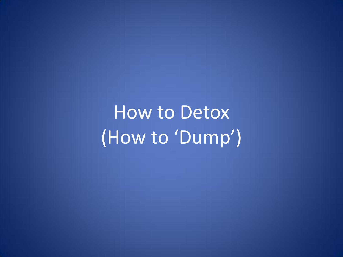How to Detox (How to 'Dump')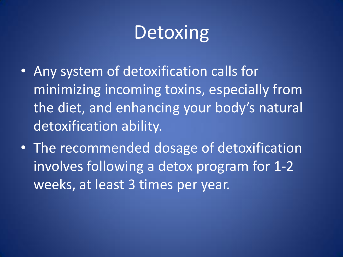- Any system of detoxification calls for minimizing incoming toxins, especially from the diet, and enhancing your body's natural detoxification ability.
- The recommended dosage of detoxification involves following a detox program for 1-2 weeks, at least 3 times per year.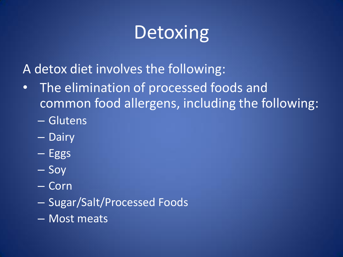A detox diet involves the following:

- The elimination of processed foods and common food allergens, including the following:
	- Glutens
	- Dairy
	- Eggs
	- Soy
	- Corn
	- Sugar/Salt/Processed Foods
	- Most meats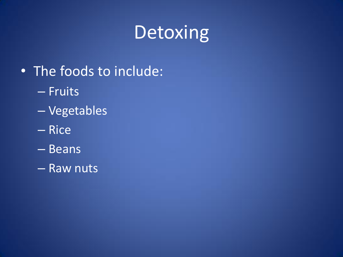- The foods to include:
	- Fruits
	- Vegetables
	- Rice
	- Beans
	- Raw nuts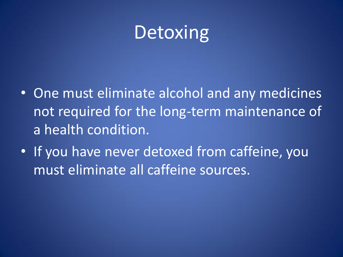- One must eliminate alcohol and any medicines not required for the long-term maintenance of a health condition.
- If you have never detoxed from caffeine, you must eliminate all caffeine sources.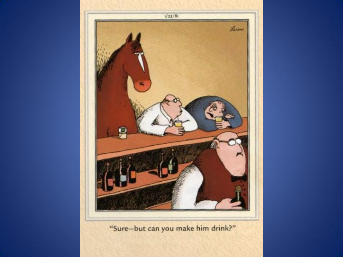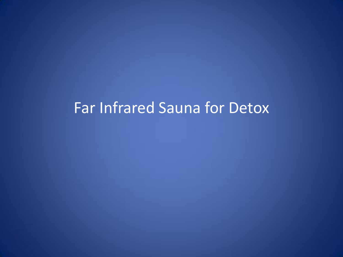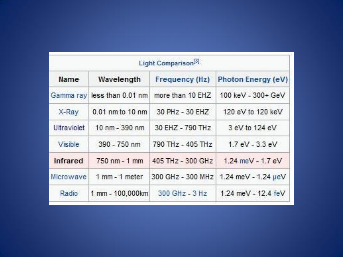| Light Comparison <sup>[3]</sup> |                                 |                   |                          |
|---------------------------------|---------------------------------|-------------------|--------------------------|
| Name                            | Wavelength                      | Frequency (Hz)    | Photon Energy (eV)       |
| Gamma ray                       | less than 0.01 nm               | more than 10 EHZ  | 100 keV - 300+ GeV       |
| X-Ray                           | $0.01$ nm to $10$ nm            | 30 PHz - 30 EHZ   | 120 eV to 120 keV        |
| <b>Ultraviolet</b>              | 10 nm - 390 nm                  | 30 EHZ - 790 THz  | 3 eV to 124 eV           |
| Visible                         | $390 - 750$ nm                  | 790 THz - 405 THz | $1.7$ eV - $3.3$ eV      |
| <b>Infrared</b>                 | $750 \text{ nm} - 1 \text{ mm}$ | 405 THz - 300 GHz | 1.24 meV - 1.7 eV        |
| Microwave                       | $1$ mm $-1$ meter               | 300 GHz - 300 MHz | 1.24 meV - $1.24 \mu$ eV |
| Radio                           | 1 mm - 100,000km                | 300 GHz - 3 Hz    | 1.24 meV - 12.4 feV      |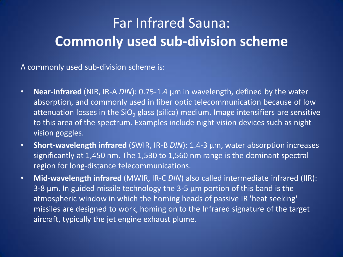#### Far Infrared Sauna: **Commonly used sub-division scheme**

A commonly used sub-division scheme is:

- **Near-infrared** (NIR, IR-A *DIN*): 0.75-1.4 µm in wavelength, defined by the water absorption, and commonly used in fiber optic telecommunication because of low attenuation losses in the SiO<sub>2</sub> glass (silica) medium. Image intensifiers are sensitive to this area of the spectrum. Examples include night vision devices such as night vision goggles.
- **Short-wavelength infrared** (SWIR, IR-B *DIN*): 1.4-3 µm, water absorption increases significantly at 1,450 nm. The 1,530 to 1,560 nm range is the dominant spectral region for long-distance telecommunications.
- **Mid-wavelength infrared** (MWIR, IR-C *DIN*) also called intermediate infrared (IIR): 3-8 µm. In guided missile technology the 3-5 µm portion of this band is the atmospheric window in which the homing heads of passive IR 'heat seeking' missiles are designed to work, homing on to the Infrared signature of the target aircraft, typically the jet engine exhaust plume.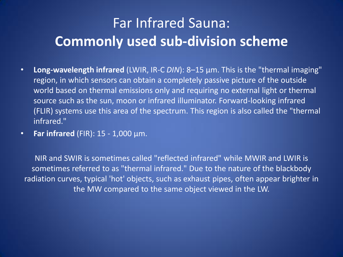#### Far Infrared Sauna: **Commonly used sub-division scheme**

- **Long-wavelength infrared** (LWIR, IR-C *DIN*): 8–15 µm. This is the "thermal imaging" region, in which sensors can obtain a completely passive picture of the outside world based on thermal emissions only and requiring no external light or thermal source such as the sun, moon or infrared illuminator. Forward-looking infrared (FLIR) systems use this area of the spectrum. This region is also called the "thermal infrared."
- **Far infrared** (FIR):  $15 1,000 \mu m$ .

NIR and SWIR is sometimes called "reflected infrared" while MWIR and LWIR is sometimes referred to as "thermal infrared." Due to the nature of the blackbody radiation curves, typical 'hot' objects, such as exhaust pipes, often appear brighter in the MW compared to the same object viewed in the LW.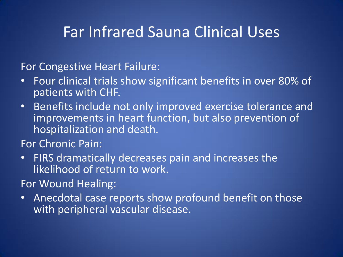### Far Infrared Sauna Clinical Uses

#### For Congestive Heart Failure:

- Four clinical trials show significant benefits in over 80% of patients with CHF.
- Benefits include not only improved exercise tolerance and improvements in heart function, but also prevention of hospitalization and death.

#### For Chronic Pain:

• FIRS dramatically decreases pain and increases the likelihood of return to work.

#### For Wound Healing:

• Anecdotal case reports show profound benefit on those with peripheral vascular disease.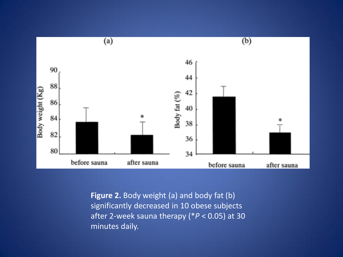

**Figure 2.** Body weight (a) and body fat (b) significantly decreased in 10 obese subjects after 2-week sauna therapy (\**P* < 0.05) at 30 minutes daily.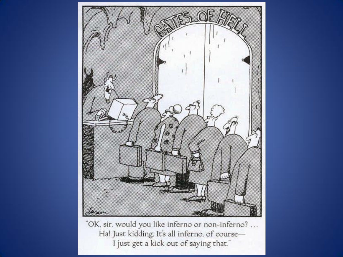

"OK, sir, would you like inferno or non-inferno? ... Ha! Just kidding. It's all inferno, of course-I just get a kick out of saying that."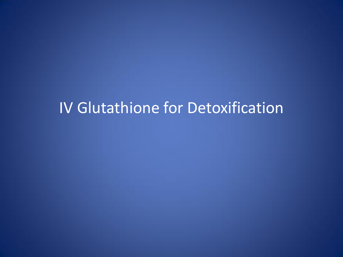

### IV Glutathione for Detoxification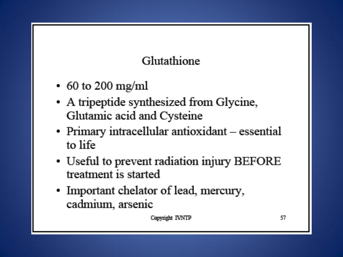#### Glutathione

- $\cdot$  60 to 200 mg/ml
- A tripeptide synthesized from Glycine, Glutamic acid and Cysteine
- Primary intracellular antioxidant essential to life
- Useful to prevent radiation injury BEFORE treatment is started
- Important chelator of lead, mercury, cadmium, arsenic

Copyright IVNTP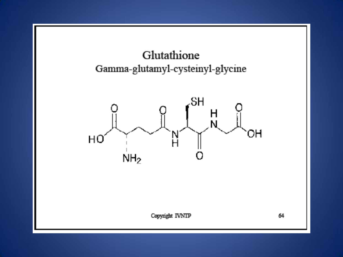

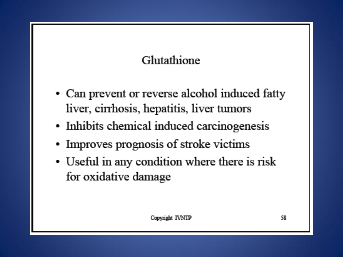#### Glutathione

- Can prevent or reverse alcohol induced fatty liver, cirrhosis, hepatitis, liver tumors
- Inhibits chemical induced carcinogenesis
- Improves prognosis of stroke victims
- Useful in any condition where there is risk for oxidative damage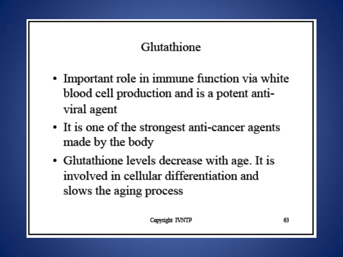#### Glutathione

- Important role in immune function via white blood cell production and is a potent antiviral agent
- It is one of the strongest anti-cancer agents made by the body
- Glutathione levels decrease with age. It is involved in cellular differentiation and slows the aging process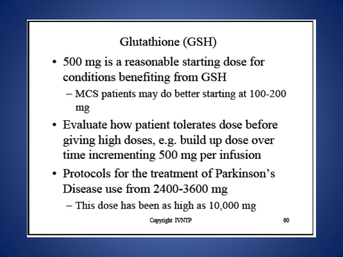Glutathione (GSH)

- 500 mg is a reasonable starting dose for conditions benefiting from GSH
	- MCS patients may do better starting at 100-200 mg
- Evaluate how patient tolerates dose before giving high doses, e.g. build up dose over time incrementing 500 mg per infusion
- Protocols for the treatment of Parkinson's Disease use from 2400-3600 mg
	- $-$  This dose has been as high as 10,000 mg

Copyright IVNIP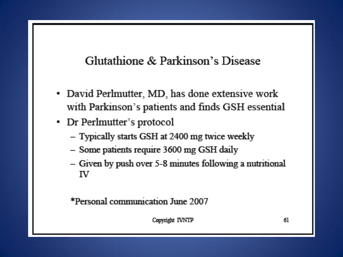#### Glutathione & Parkinson's Disease

- David Perlmutter, MD, has done extensive work with Parkinson's patients and finds GSH essential
- Dr Perlmutter's protocol
	- Typically starts GSH at 2400 mg twice weekly
	- Some patients require 3600 mg GSH daily
	- Given by push over 5-8 minutes following a nutritional TV.

\*Personal communication June 2007

Copyright IVNTP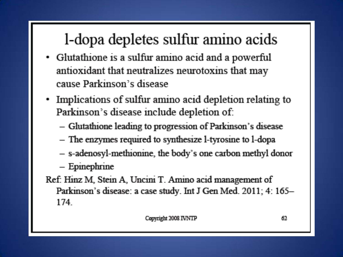### 1-dopa depletes sulfur amino acids

- Glutathione is a sulfur amino acid and a powerful antioxidant that neutralizes neurotoxins that may cause Parkinson's disease
- Implications of sulfur amino acid depletion relating to Parkinson's disease include depletion of:
	- Glutathione leading to progression of Parkinson's disease
	- The enzymes required to synthesize 1-tyrosine to 1-dopa
	- s-adenosyl-methionine, the body's one carbon methyl donor
	- $-$  Epinephrine
- Ref: Hinz M, Stein A, Uncini T. Amino acid management of Parkinson's disease: a case study. Int J Gen Med. 2011; 4: 165-174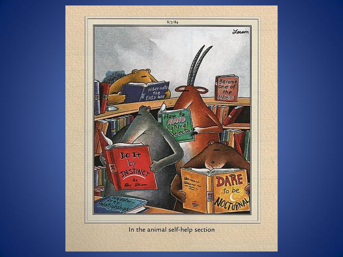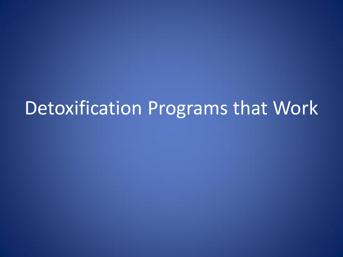

## Detoxification Programs that Work